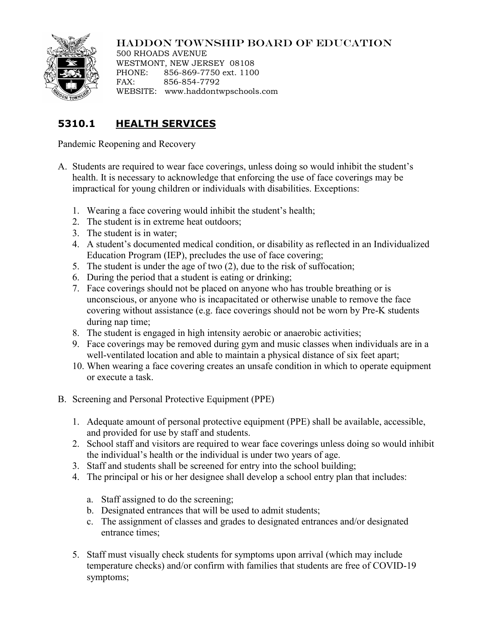

## HADDON TOWNSHIP BOARD OF EDUCATION

500 RHOADS AVENUE WESTMONT, NEW JERSEY 08108 PHONE: 856-869-7750 ext. 1100 FAX: 856-854-7792 WEBSITE: www.haddontwpschools.com

## **5310.1 HEALTH SERVICES**

Pandemic Reopening and Recovery

- A. Students are required to wear face coverings, unless doing so would inhibit the student's health. It is necessary to acknowledge that enforcing the use of face coverings may be impractical for young children or individuals with disabilities. Exceptions:
	- 1. Wearing a face covering would inhibit the student's health;
	- 2. The student is in extreme heat outdoors;
	- 3. The student is in water;
	- 4. A student's documented medical condition, or disability as reflected in an Individualized Education Program (IEP), precludes the use of face covering;
	- 5. The student is under the age of two (2), due to the risk of suffocation;
	- 6. During the period that a student is eating or drinking;
	- 7. Face coverings should not be placed on anyone who has trouble breathing or is unconscious, or anyone who is incapacitated or otherwise unable to remove the face covering without assistance (e.g. face coverings should not be worn by Pre-K students during nap time;
	- 8. The student is engaged in high intensity aerobic or anaerobic activities;
	- 9. Face coverings may be removed during gym and music classes when individuals are in a well-ventilated location and able to maintain a physical distance of six feet apart;
	- 10. When wearing a face covering creates an unsafe condition in which to operate equipment or execute a task.
- B. Screening and Personal Protective Equipment (PPE)
	- 1. Adequate amount of personal protective equipment (PPE) shall be available, accessible, and provided for use by staff and students.
	- 2. School staff and visitors are required to wear face coverings unless doing so would inhibit the individual's health or the individual is under two years of age.
	- 3. Staff and students shall be screened for entry into the school building;
	- 4. The principal or his or her designee shall develop a school entry plan that includes:
		- a. Staff assigned to do the screening;
		- b. Designated entrances that will be used to admit students;
		- c. The assignment of classes and grades to designated entrances and/or designated entrance times;
	- 5. Staff must visually check students for symptoms upon arrival (which may include temperature checks) and/or confirm with families that students are free of COVID-19 symptoms;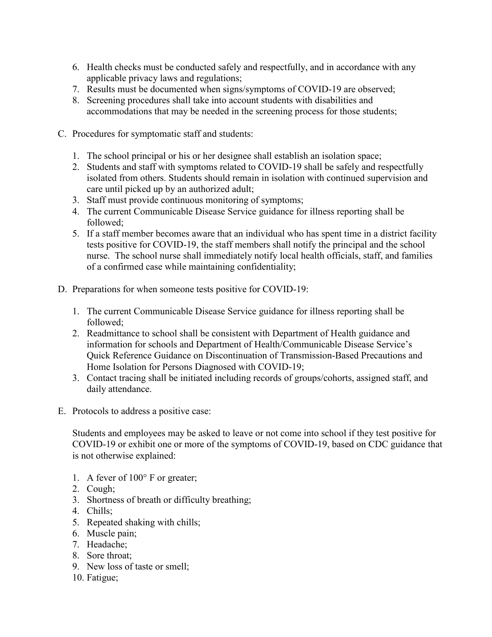- 6. Health checks must be conducted safely and respectfully, and in accordance with any applicable privacy laws and regulations;
- 7. Results must be documented when signs/symptoms of COVID-19 are observed;
- 8. Screening procedures shall take into account students with disabilities and accommodations that may be needed in the screening process for those students;
- C. Procedures for symptomatic staff and students:
	- 1. The school principal or his or her designee shall establish an isolation space;
	- 2. Students and staff with symptoms related to COVID-19 shall be safely and respectfully isolated from others. Students should remain in isolation with continued supervision and care until picked up by an authorized adult;
	- 3. Staff must provide continuous monitoring of symptoms;
	- 4. The [current Communicable Disease Service g](https://www.nj.gov/health/cd/)uidance for illness reporting shall be followed;
	- 5. If a staff member becomes aware that an individual who has spent time in a district facility tests positive for COVID-19, the staff members shall notify the principal and the school nurse. The school nurse shall immediately notify local health officials, staff, and families of a confirmed case while maintaining confidentiality;
- D. Preparations for when someone tests positive for COVID-19:
	- 1. The [current Communicable Disease Service](https://www.nj.gov/health/cd/) guidance for illness reporting shall be followed;
	- 2. Readmittance to school shall be consistent with [Department of Health guidance and](https://www.state.nj.us/health/cd/topics/covid2019_schools.shtml)  [information for schools](https://www.state.nj.us/health/cd/topics/covid2019_schools.shtml) and Department of Health/Communicable Disease Service's [Quick Reference Guidance on Discontinuation of Transmission-Based Precautions and](https://www.nj.gov/health/cd/documents/topics/NCOV/COVID-QuickRef_Discont_Isolation_and_TBP.pdf)  [Home Isolation for Persons Diagnosed with COVID-19;](https://www.nj.gov/health/cd/documents/topics/NCOV/COVID-QuickRef_Discont_Isolation_and_TBP.pdf)
	- 3. Contact tracing shall be initiated including records of groups/cohorts, assigned staff, and daily attendance.
- E. Protocols to address a positive case:

Students and employees may be asked to leave or not come into school if they test positive for COVID-19 or exhibit one or more of the symptoms of COVID-19, based on CDC guidance that is not otherwise explained:

- 1. A fever of 100° F or greater;
- 2. Cough;
- 3. Shortness of breath or difficulty breathing;
- 4. Chills;
- 5. Repeated shaking with chills;
- 6. Muscle pain;
- 7. Headache;
- 8. Sore throat;
- 9. New loss of taste or smell;
- 10. Fatigue;